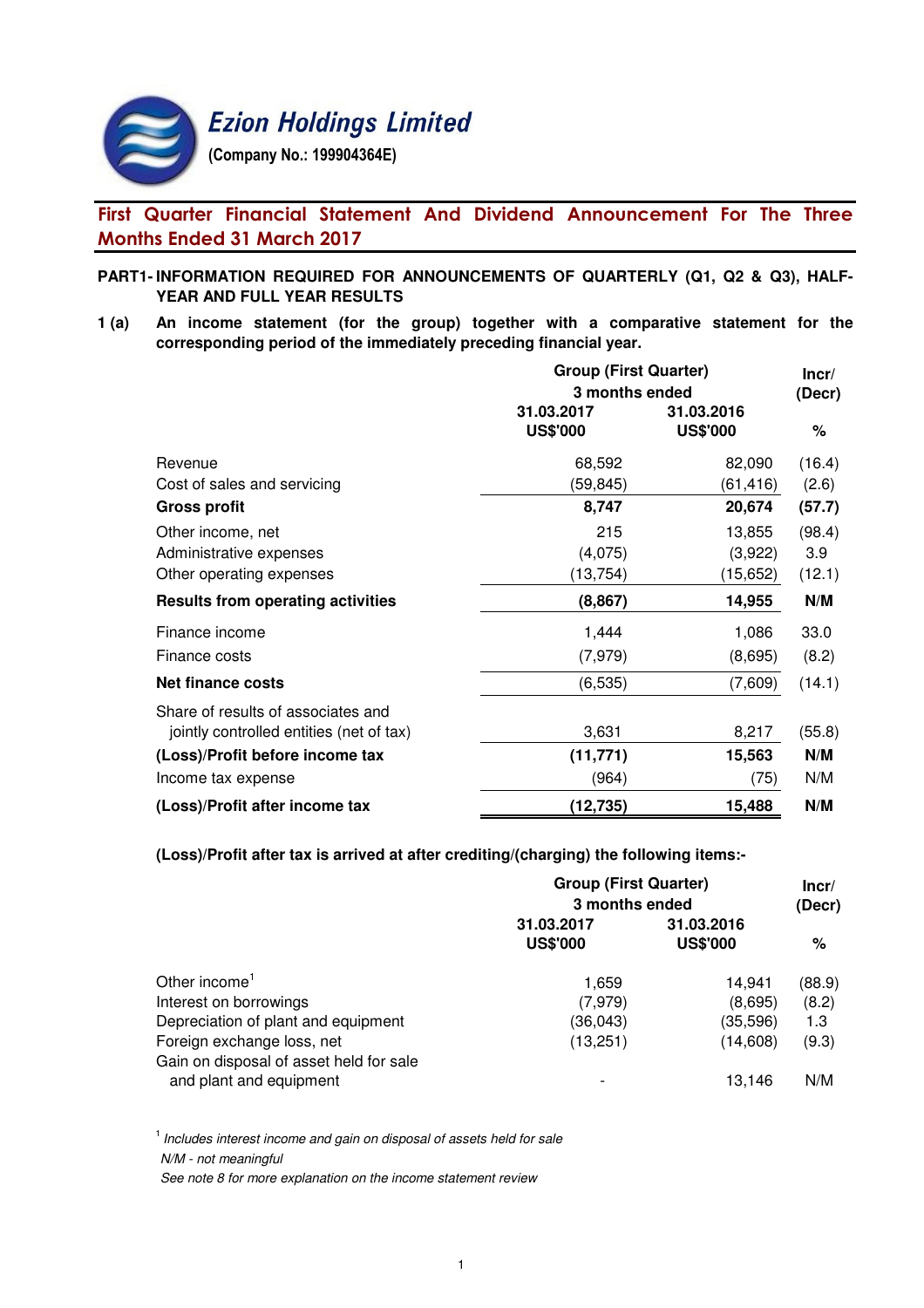

# First Quarter Financial Statement And Dividend Announcement For The Three Months Ended 31 March 2017

# **PART1- INFORMATION REQUIRED FOR ANNOUNCEMENTS OF QUARTERLY (Q1, Q2 & Q3), HALF-YEAR AND FULL YEAR RESULTS**

**1 (a) An income statement (for the group) together with a comparative statement for the corresponding period of the immediately preceding financial year.**

|                                          | <b>Group (First Quarter)</b> | Incr/           |        |
|------------------------------------------|------------------------------|-----------------|--------|
|                                          | 3 months ended               | (Decr)          |        |
|                                          | 31.03.2017                   | 31.03.2016      |        |
|                                          | <b>US\$'000</b>              | <b>US\$'000</b> | %      |
| Revenue                                  | 68,592                       | 82,090          | (16.4) |
| Cost of sales and servicing              | (59,845)                     | (61, 416)       | (2.6)  |
| <b>Gross profit</b>                      | 8,747                        | 20,674          | (57.7) |
| Other income, net                        | 215                          | 13,855          | (98.4) |
| Administrative expenses                  | (4,075)                      | (3,922)         | 3.9    |
| Other operating expenses                 | (13, 754)                    | (15,652)        | (12.1) |
| <b>Results from operating activities</b> | (8, 867)                     | 14,955          | N/M    |
| Finance income                           | 1,444                        | 1,086           | 33.0   |
| Finance costs                            | (7, 979)                     | (8,695)         | (8.2)  |
| Net finance costs                        | (6, 535)                     | (7,609)         | (14.1) |
| Share of results of associates and       |                              |                 |        |
| jointly controlled entities (net of tax) | 3,631                        | 8,217           | (55.8) |
| (Loss)/Profit before income tax          | (11, 771)                    | 15,563          | N/M    |
| Income tax expense                       | (964)                        | (75)            | N/M    |
| (Loss)/Profit after income tax           | (12, 735)                    | 15,488          | N/M    |

**(Loss)/Profit after tax is arrived at after crediting/(charging) the following items:-**

|                                                                       | <b>Group (First Quarter)</b><br>3 months ended |                               |        |  |
|-----------------------------------------------------------------------|------------------------------------------------|-------------------------------|--------|--|
|                                                                       | 31.03.2017<br><b>US\$'000</b>                  | 31.03.2016<br><b>US\$'000</b> | %      |  |
| Other income <sup>1</sup>                                             | 1,659                                          | 14.941                        | (88.9) |  |
| Interest on borrowings                                                | (7, 979)                                       | (8,695)                       | (8.2)  |  |
| Depreciation of plant and equipment                                   | (36,043)                                       | (35, 596)                     | 1.3    |  |
| Foreign exchange loss, net<br>Gain on disposal of asset held for sale | (13, 251)                                      | (14,608)                      | (9.3)  |  |
| and plant and equipment                                               |                                                | 13.146                        | N/M    |  |

 $<sup>1</sup>$  Includes interest income and gain on disposal of assets held for sale</sup> N/M - not meaningful

See note 8 for more explanation on the income statement review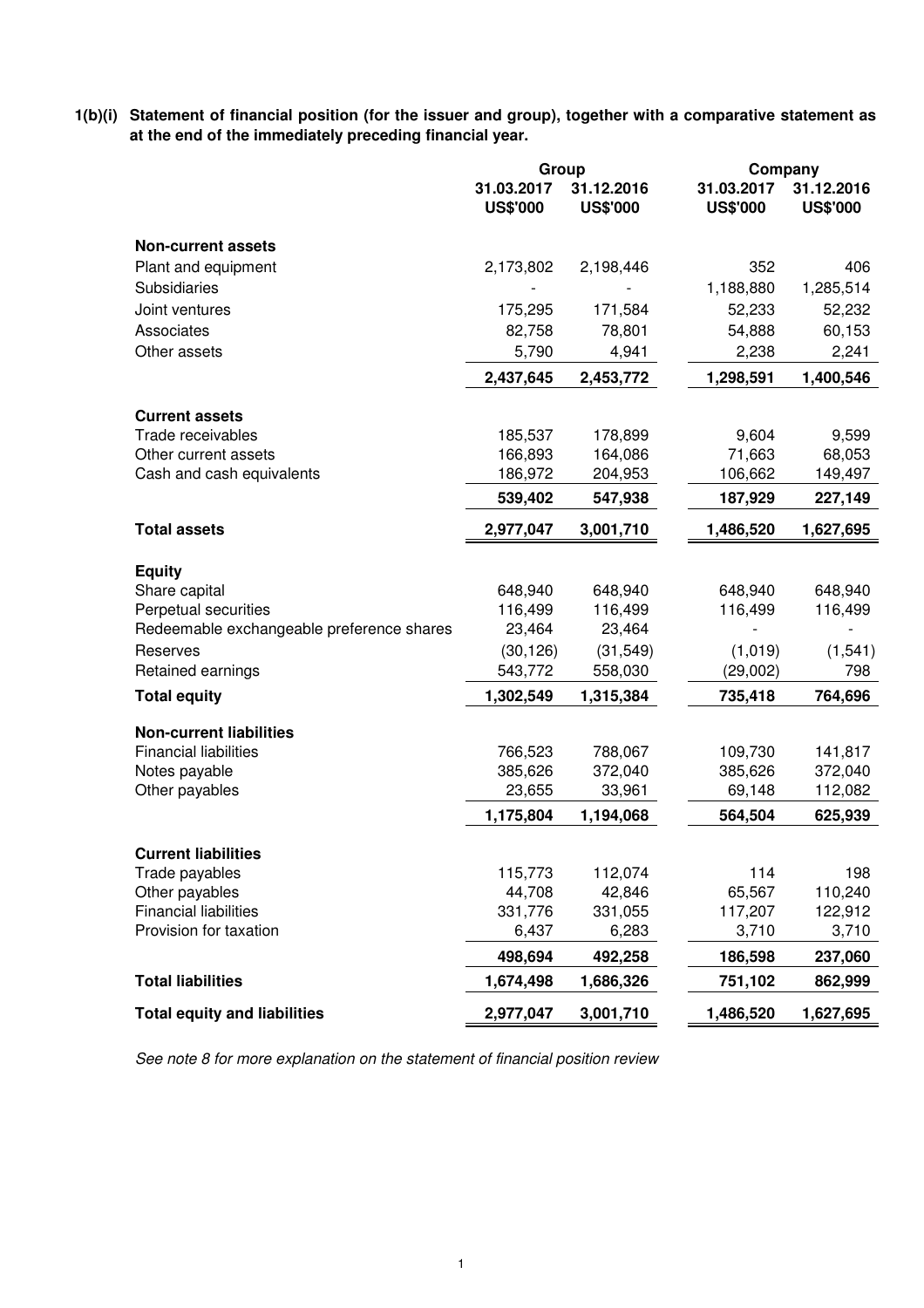**1(b)(i) Statement of financial position (for the issuer and group), together with a comparative statement as at the end of the immediately preceding financial year.**

|                                           | Group                         |                               | Company                       |                               |  |
|-------------------------------------------|-------------------------------|-------------------------------|-------------------------------|-------------------------------|--|
|                                           | 31.03.2017<br><b>US\$'000</b> | 31.12.2016<br><b>US\$'000</b> | 31.03.2017<br><b>US\$'000</b> | 31.12.2016<br><b>US\$'000</b> |  |
| <b>Non-current assets</b>                 |                               |                               |                               |                               |  |
| Plant and equipment                       | 2,173,802                     | 2,198,446                     | 352                           | 406                           |  |
| Subsidiaries                              |                               |                               | 1,188,880                     | 1,285,514                     |  |
| Joint ventures                            | 175,295                       | 171,584                       | 52,233                        | 52,232                        |  |
| Associates                                | 82,758                        | 78,801                        | 54,888                        | 60,153                        |  |
| Other assets                              | 5,790                         | 4,941                         | 2,238                         | 2,241                         |  |
|                                           | 2,437,645                     | 2,453,772                     | 1,298,591                     | 1,400,546                     |  |
| <b>Current assets</b>                     |                               |                               |                               |                               |  |
| Trade receivables                         | 185,537                       | 178,899                       | 9,604                         | 9,599                         |  |
| Other current assets                      | 166,893                       | 164,086                       | 71,663                        | 68,053                        |  |
| Cash and cash equivalents                 | 186,972                       | 204,953                       | 106,662                       | 149,497                       |  |
|                                           | 539,402                       | 547,938                       | 187,929                       | 227,149                       |  |
| <b>Total assets</b>                       | 2,977,047                     | 3,001,710                     | 1,486,520                     | 1,627,695                     |  |
| <b>Equity</b>                             |                               |                               |                               |                               |  |
| Share capital                             | 648,940                       | 648,940                       | 648,940                       | 648,940                       |  |
| Perpetual securities                      | 116,499                       | 116,499                       | 116,499                       | 116,499                       |  |
| Redeemable exchangeable preference shares | 23,464                        | 23,464                        |                               |                               |  |
| Reserves                                  | (30, 126)                     | (31, 549)                     | (1,019)                       | (1, 541)                      |  |
| Retained earnings                         | 543,772                       | 558,030                       | (29,002)                      | 798                           |  |
| <b>Total equity</b>                       | 1,302,549                     | 1,315,384                     | 735,418                       | 764,696                       |  |
| <b>Non-current liabilities</b>            |                               |                               |                               |                               |  |
| <b>Financial liabilities</b>              | 766,523                       | 788,067                       | 109,730                       | 141,817                       |  |
| Notes payable                             | 385,626                       | 372,040                       | 385,626                       | 372,040                       |  |
| Other payables                            | 23,655                        | 33,961                        | 69,148                        | 112,082                       |  |
|                                           | 1,175,804                     | 1,194,068                     | 564,504                       | 625,939                       |  |
| <b>Current liabilities</b>                |                               |                               |                               |                               |  |
| Trade payables                            | 115,773                       | 112,074                       | 114                           | 198                           |  |
| Other payables                            | 44,708                        | 42,846                        | 65,567                        | 110,240                       |  |
| <b>Financial liabilities</b>              | 331,776                       | 331,055                       | 117,207                       | 122,912                       |  |
| Provision for taxation                    | 6,437                         | 6,283                         | 3,710                         | 3,710                         |  |
|                                           | 498,694                       | 492,258                       | 186,598                       | 237,060                       |  |
| <b>Total liabilities</b>                  | 1,674,498                     | 1,686,326                     | 751,102                       | 862,999                       |  |
| <b>Total equity and liabilities</b>       | 2,977,047                     | 3,001,710                     | 1,486,520                     | 1,627,695                     |  |

See note 8 for more explanation on the statement of financial position review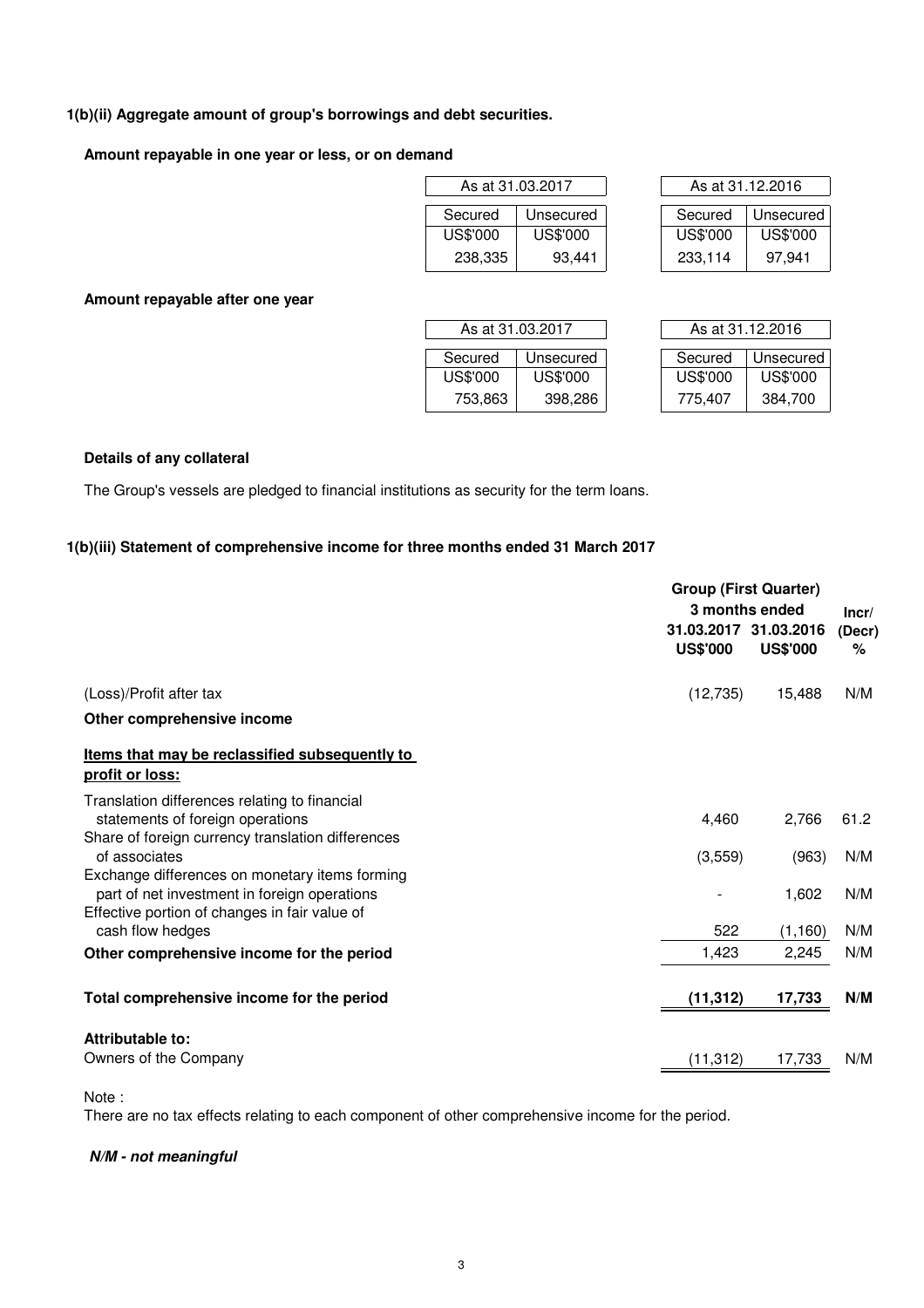# **1(b)(ii) Aggregate amount of group's borrowings and debt securities.**

# **Amount repayable in one year or less, or on demand**

|          | As at 31.03.2017 |          | As at 31.12.2016 |
|----------|------------------|----------|------------------|
| Secured  | Unsecured        | Secured  | Unsecure         |
| US\$'000 | US\$'000         | US\$'000 | US\$'000         |
| 238,335  | 93.441           | 233,114  | 97.941           |

|          | As at 31.03.2017 | As at 31.12.2016 |           |  |  |
|----------|------------------|------------------|-----------|--|--|
|          |                  |                  |           |  |  |
| Secured  | Unsecured        | Secured          | Unsecured |  |  |
| US\$'000 | US\$'000         | US\$'000         | US\$'000  |  |  |
| 238,335  | 93,441           | 233,114          | 97.941    |  |  |

**Amount repayable after one year**

|          | As at 31.03.2017 | As at 31.12.2016 |           |
|----------|------------------|------------------|-----------|
| Secured  | Unsecured        | Secured          | Unsecured |
| US\$'000 | US\$'000         | <b>US\$'000</b>  | US\$'000  |
| 753,863  | 398,286          | 775,407          | 384,700   |

| As at 31.12.2016 |           |  |  |
|------------------|-----------|--|--|
|                  |           |  |  |
| Secured          | Unsecured |  |  |
| US\$'000         | US\$'000  |  |  |
| 775.407          | 384,700   |  |  |

# **Details of any collateral**

The Group's vessels are pledged to financial institutions as security for the term loans.

# **1(b)(iii) Statement of comprehensive income for three months ended 31 March 2017**

|                                                                                                                                        | <b>Group (First Quarter)</b><br>3 months ended |                                          |                         |
|----------------------------------------------------------------------------------------------------------------------------------------|------------------------------------------------|------------------------------------------|-------------------------|
|                                                                                                                                        | <b>US\$'000</b>                                | 31.03.2017 31.03.2016<br><b>US\$'000</b> | Incr/<br>(Decr)<br>$\%$ |
| (Loss)/Profit after tax                                                                                                                | (12, 735)                                      | 15,488                                   | N/M                     |
| Other comprehensive income                                                                                                             |                                                |                                          |                         |
| Items that may be reclassified subsequently to<br>profit or loss:                                                                      |                                                |                                          |                         |
| Translation differences relating to financial<br>statements of foreign operations<br>Share of foreign currency translation differences | 4,460                                          | 2,766                                    | 61.2                    |
| of associates<br>Exchange differences on monetary items forming                                                                        | (3,559)                                        | (963)                                    | N/M                     |
| part of net investment in foreign operations<br>Effective portion of changes in fair value of                                          |                                                | 1,602                                    | N/M                     |
| cash flow hedges                                                                                                                       | 522                                            | (1, 160)                                 | N/M                     |
| Other comprehensive income for the period                                                                                              | 1,423                                          | 2,245                                    | N/M                     |
| Total comprehensive income for the period                                                                                              | (11, 312)                                      | 17,733                                   | N/M                     |
| Attributable to:                                                                                                                       |                                                |                                          |                         |
| Owners of the Company                                                                                                                  | (11, 312)                                      | 17,733                                   | N/M                     |

Note :

There are no tax effects relating to each component of other comprehensive income for the period.

### **N/M - not meaningful**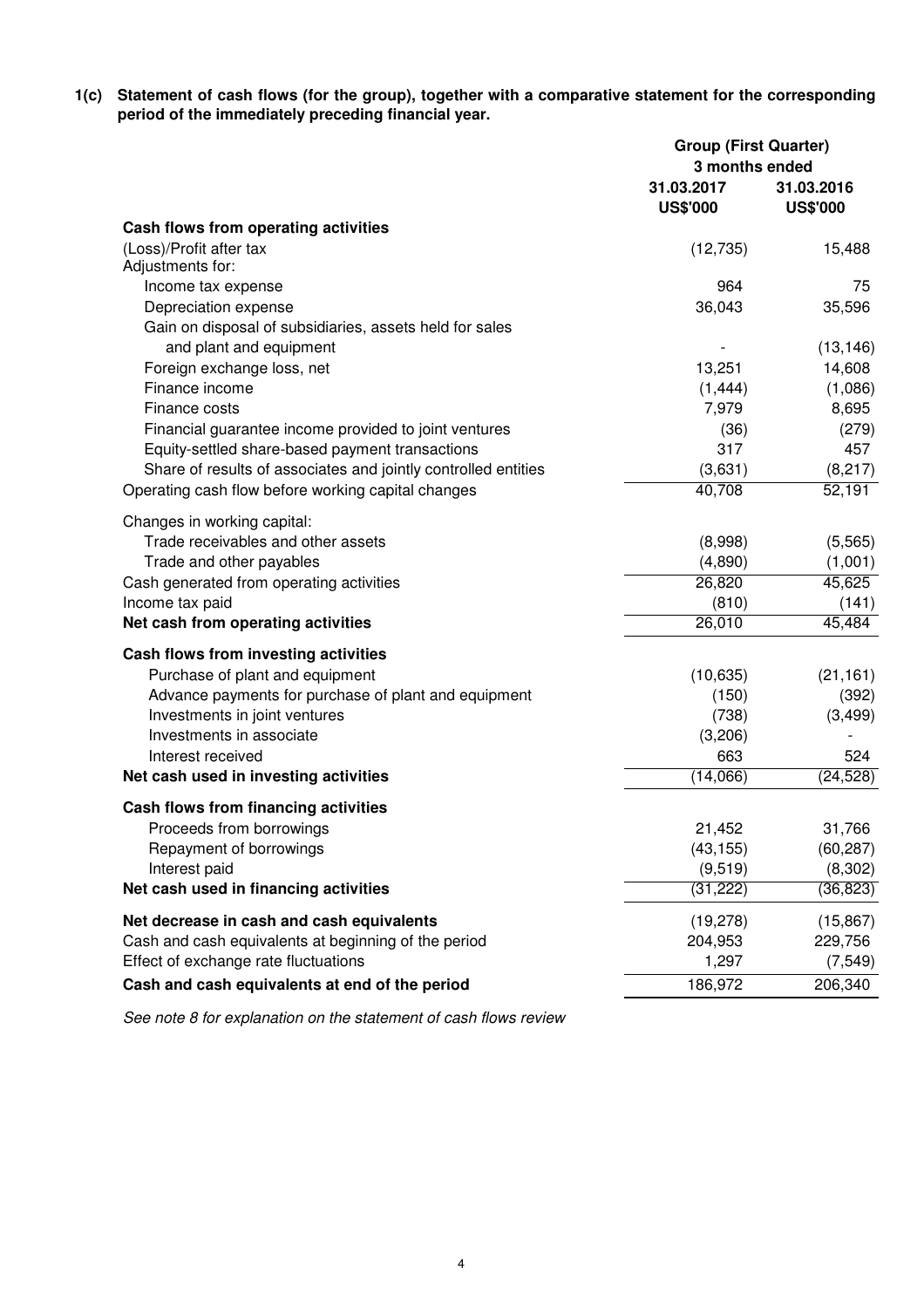**1(c) Statement of cash flows (for the group), together with a comparative statement for the corresponding period of the immediately preceding financial year.**

|                                                                                       | <b>Group (First Quarter)</b><br>3 months ended |                               |  |
|---------------------------------------------------------------------------------------|------------------------------------------------|-------------------------------|--|
|                                                                                       | 31.03.2017<br><b>US\$'000</b>                  | 31.03.2016<br><b>US\$'000</b> |  |
| Cash flows from operating activities                                                  |                                                |                               |  |
| (Loss)/Profit after tax                                                               | (12, 735)                                      | 15,488                        |  |
| Adjustments for:                                                                      |                                                |                               |  |
| Income tax expense                                                                    | 964                                            | 75                            |  |
| Depreciation expense                                                                  | 36,043                                         | 35,596                        |  |
| Gain on disposal of subsidiaries, assets held for sales                               |                                                |                               |  |
| and plant and equipment                                                               |                                                | (13, 146)                     |  |
| Foreign exchange loss, net                                                            | 13,251                                         | 14,608                        |  |
| Finance income                                                                        | (1, 444)                                       | (1,086)                       |  |
| Finance costs                                                                         | 7,979                                          | 8,695                         |  |
| Financial guarantee income provided to joint ventures                                 | (36)                                           | (279)                         |  |
| Equity-settled share-based payment transactions                                       | 317                                            | 457                           |  |
| Share of results of associates and jointly controlled entities                        | (3,631)                                        | (8, 217)                      |  |
| Operating cash flow before working capital changes                                    | 40,708                                         | 52,191                        |  |
| Changes in working capital:                                                           |                                                |                               |  |
| Trade receivables and other assets                                                    | (8,998)                                        | (5, 565)                      |  |
| Trade and other payables                                                              | (4,890)                                        | (1,001)                       |  |
| Cash generated from operating activities                                              | 26,820                                         | 45,625                        |  |
| Income tax paid                                                                       | (810)                                          | (141)                         |  |
| Net cash from operating activities                                                    | 26,010                                         | 45,484                        |  |
| Cash flows from investing activities                                                  |                                                |                               |  |
| Purchase of plant and equipment                                                       | (10, 635)                                      |                               |  |
|                                                                                       |                                                | (21, 161)                     |  |
| Advance payments for purchase of plant and equipment<br>Investments in joint ventures | (150)<br>(738)                                 | (392)<br>(3, 499)             |  |
| Investments in associate                                                              | (3,206)                                        |                               |  |
| Interest received                                                                     | 663                                            | 524                           |  |
| Net cash used in investing activities                                                 | (14,066)                                       | (24, 528)                     |  |
|                                                                                       |                                                |                               |  |
| Cash flows from financing activities                                                  |                                                |                               |  |
| Proceeds from borrowings                                                              | 21,452                                         | 31,766                        |  |
| Repayment of borrowings                                                               | (43, 155)                                      | (60, 287)                     |  |
| Interest paid                                                                         | (9, 519)                                       | (8,302)                       |  |
| Net cash used in financing activities                                                 | (31, 222)                                      | (36, 823)                     |  |
| Net decrease in cash and cash equivalents                                             | (19, 278)                                      | (15, 867)                     |  |
| Cash and cash equivalents at beginning of the period                                  | 204,953                                        | 229,756                       |  |
| Effect of exchange rate fluctuations                                                  | 1,297                                          | (7, 549)                      |  |
| Cash and cash equivalents at end of the period                                        | 186,972                                        | 206,340                       |  |
|                                                                                       |                                                |                               |  |

See note 8 for explanation on the statement of cash flows review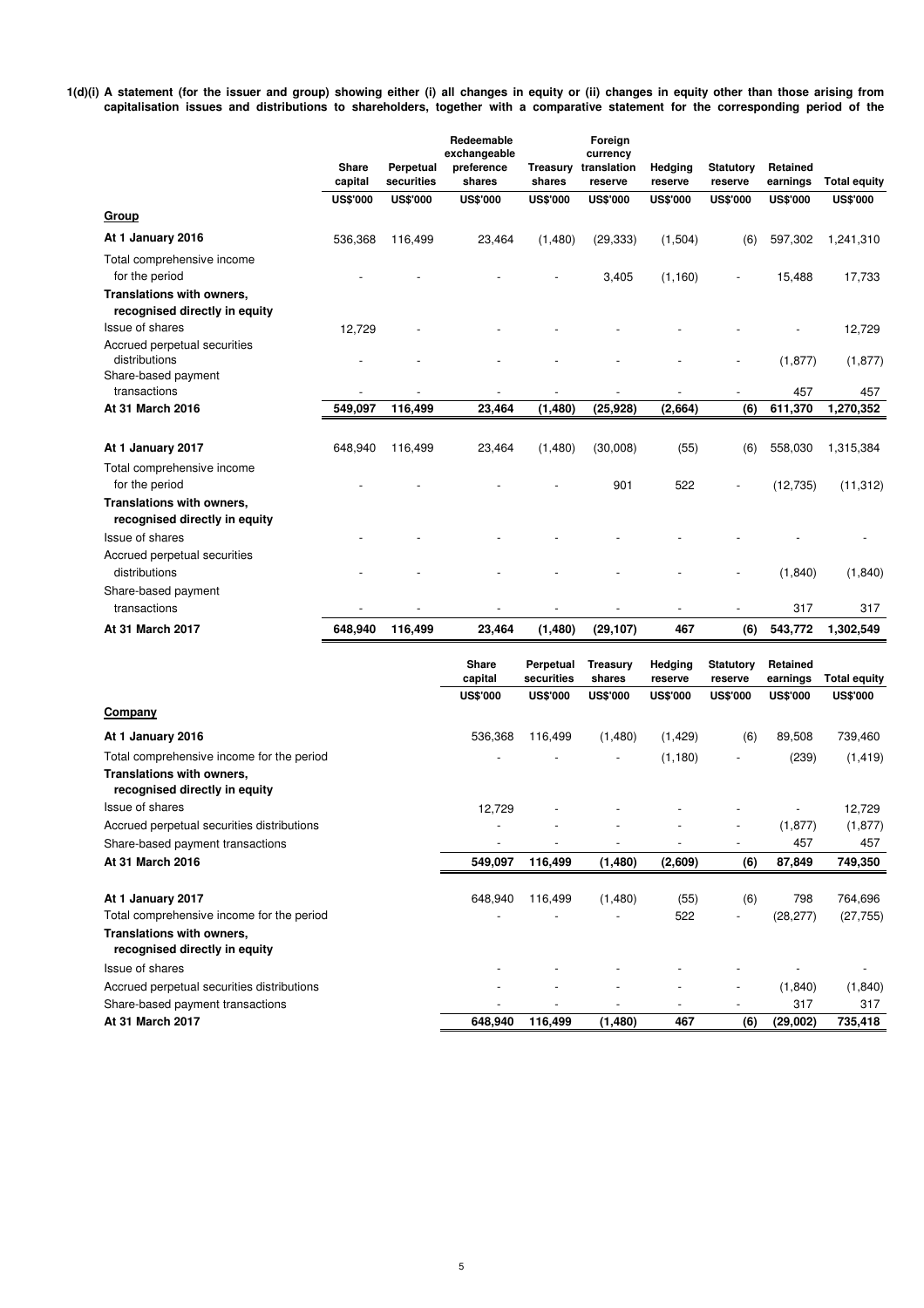**1(d)(i) A statement (for the issuer and group) showing either (i) all changes in equity or (ii) changes in equity other than those arising from capitalisation issues and distributions to shareholders, together with a comparative statement for the corresponding period of the**

|                                                            | <b>Share</b><br>capital | Perpetual<br>securities | Redeemable<br>exchangeable<br>preference<br>shares | <b>Treasury</b><br>shares | Foreign<br>currency<br>translation<br>reserve | Hedging<br>reserve | <b>Statutory</b><br>reserve | Retained<br>earnings | <b>Total equity</b> |
|------------------------------------------------------------|-------------------------|-------------------------|----------------------------------------------------|---------------------------|-----------------------------------------------|--------------------|-----------------------------|----------------------|---------------------|
|                                                            | <b>US\$'000</b>         | <b>US\$'000</b>         | <b>US\$'000</b>                                    | <b>US\$'000</b>           | <b>US\$'000</b>                               | <b>US\$'000</b>    | <b>US\$'000</b>             | <b>US\$'000</b>      | <b>US\$'000</b>     |
| Group                                                      |                         |                         |                                                    |                           |                                               |                    |                             |                      |                     |
| At 1 January 2016                                          | 536,368                 | 116,499                 | 23,464                                             | (1,480)                   | (29, 333)                                     | (1,504)            | (6)                         | 597,302              | 1,241,310           |
| Total comprehensive income<br>for the period               |                         |                         |                                                    |                           | 3,405                                         | (1, 160)           |                             | 15,488               | 17,733              |
| Translations with owners,<br>recognised directly in equity |                         |                         |                                                    |                           |                                               |                    |                             |                      |                     |
| Issue of shares                                            | 12,729                  |                         |                                                    |                           |                                               |                    |                             |                      | 12,729              |
| Accrued perpetual securities<br>distributions              |                         |                         |                                                    |                           |                                               |                    |                             | (1, 877)             | (1, 877)            |
| Share-based payment<br>transactions                        |                         |                         |                                                    |                           |                                               |                    |                             | 457                  | 457                 |
| At 31 March 2016                                           | 549,097                 | 116,499                 | 23,464                                             | (1, 480)                  | (25, 928)                                     | (2,664)            | (6)                         | 611,370              | 1,270,352           |
| At 1 January 2017                                          | 648,940                 | 116.499                 | 23,464                                             | (1,480)                   | (30,008)                                      | (55)               | (6)                         | 558,030              | 1,315,384           |
| Total comprehensive income<br>for the period               |                         |                         |                                                    |                           | 901                                           | 522                |                             | (12, 735)            | (11, 312)           |
| Translations with owners,<br>recognised directly in equity |                         |                         |                                                    |                           |                                               |                    |                             |                      |                     |
| Issue of shares                                            |                         |                         |                                                    |                           |                                               |                    |                             |                      |                     |
| Accrued perpetual securities<br>distributions              |                         |                         |                                                    |                           |                                               |                    |                             | (1,840)              | (1,840)             |
| Share-based payment<br>transactions                        |                         |                         |                                                    |                           |                                               |                    |                             | 317                  | 317                 |
| At 31 March 2017                                           | 648,940                 | 116,499                 | 23,464                                             | (1,480)                   | (29, 107)                                     | 467                | (6)                         | 543,772              | 1,302,549           |
|                                                            |                         |                         |                                                    |                           |                                               |                    |                             |                      |                     |
|                                                            |                         |                         | <b>Share</b><br>capital                            | Perpetual<br>securities   | <b>Treasury</b><br>shares                     | Hedging<br>reserve | <b>Statutory</b><br>reserve | Retained<br>earnings | <b>Total equity</b> |

|                                                            | <b>US\$'000</b> | <b>US\$'000</b> | <b>US\$'000</b> | <b>US\$'000</b> | <b>US\$'000</b>          | <b>US\$'000</b> | <b>US\$'000</b> |
|------------------------------------------------------------|-----------------|-----------------|-----------------|-----------------|--------------------------|-----------------|-----------------|
| Company                                                    |                 |                 |                 |                 |                          |                 |                 |
| At 1 January 2016                                          | 536,368         | 116,499         | (1,480)         | (1,429)         | (6)                      | 89,508          | 739,460         |
| Total comprehensive income for the period                  |                 |                 |                 | (1,180)         | $\overline{\phantom{a}}$ | (239)           | (1, 419)        |
| Translations with owners,<br>recognised directly in equity |                 |                 |                 |                 |                          |                 |                 |
| Issue of shares                                            | 12,729          |                 |                 |                 |                          |                 | 12,729          |
| Accrued perpetual securities distributions                 |                 |                 |                 |                 | $\overline{\phantom{a}}$ | (1, 877)        | (1, 877)        |
| Share-based payment transactions                           |                 |                 |                 |                 | $\overline{\phantom{0}}$ | 457             | 457             |
| At 31 March 2016                                           | 549,097         | 116,499         | (1,480)         | (2,609)         | (6)                      | 87,849          | 749,350         |
| At 1 January 2017                                          | 648,940         | 116,499         | (1,480)         | (55)            | (6)                      | 798             | 764,696         |
| Total comprehensive income for the period                  |                 |                 |                 | 522             | -                        | (28, 277)       | (27, 755)       |
| Translations with owners,<br>recognised directly in equity |                 |                 |                 |                 |                          |                 |                 |
| Issue of shares                                            |                 |                 |                 |                 |                          |                 |                 |
| Accrued perpetual securities distributions                 |                 |                 |                 |                 | $\overline{\phantom{a}}$ | (1,840)         | (1, 840)        |
| Share-based payment transactions                           |                 |                 |                 |                 | $\overline{\phantom{a}}$ | 317             | 317             |
| <b>At 31 March 2017</b>                                    | 648,940         | 116,499         | (1,480)         | 467             | (6)                      | (29,002)        | 735,418         |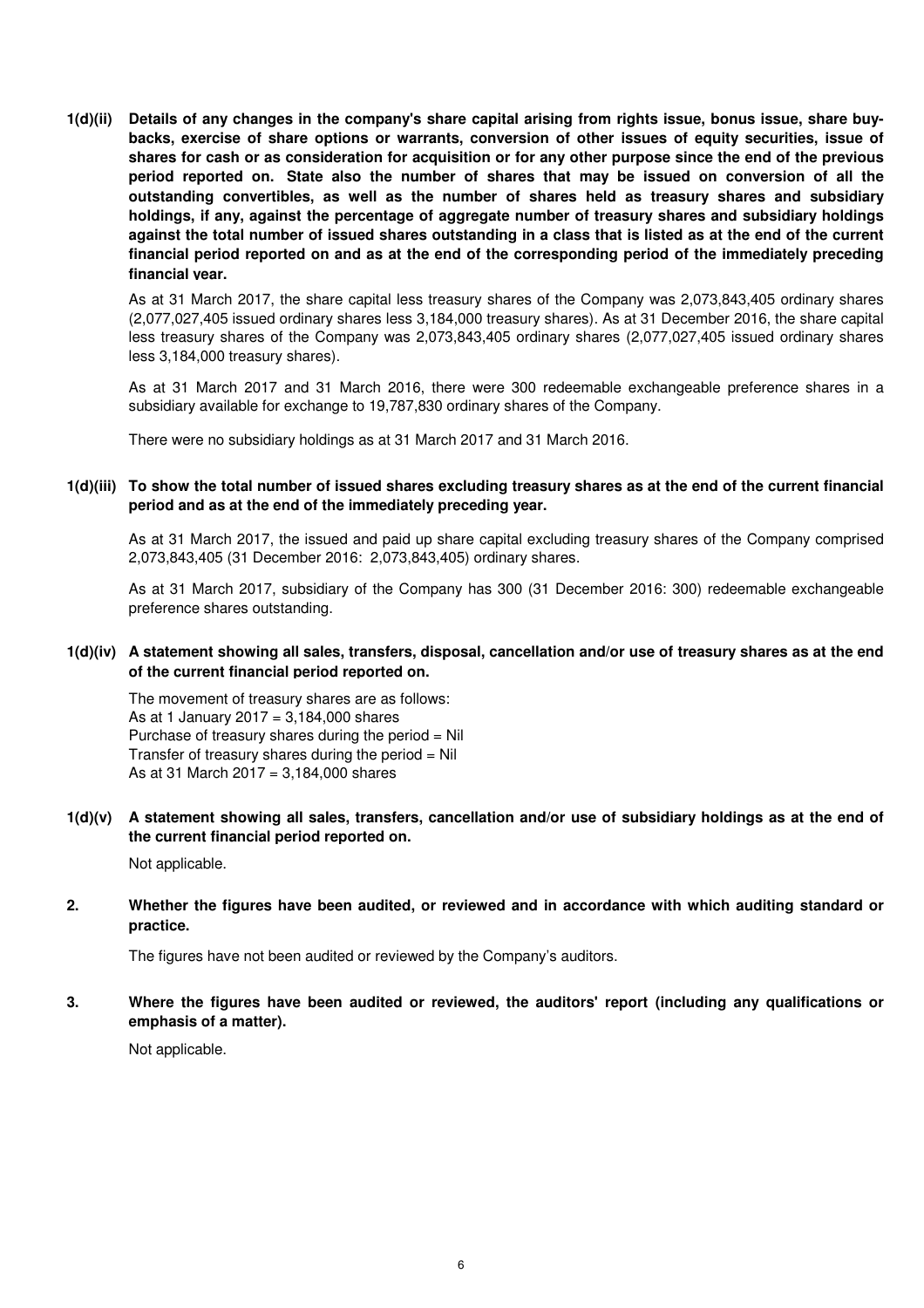**1(d)(ii) Details of any changes in the company's share capital arising from rights issue, bonus issue, share buybacks, exercise of share options or warrants, conversion of other issues of equity securities, issue of shares for cash or as consideration for acquisition or for any other purpose since the end of the previous period reported on. State also the number of shares that may be issued on conversion of all the outstanding convertibles, as well as the number of shares held as treasury shares and subsidiary holdings, if any, against the percentage of aggregate number of treasury shares and subsidiary holdings against the total number of issued shares outstanding in a class that is listed as at the end of the current financial period reported on and as at the end of the corresponding period of the immediately preceding financial year.**

As at 31 March 2017, the share capital less treasury shares of the Company was 2,073,843,405 ordinary shares (2,077,027,405 issued ordinary shares less 3,184,000 treasury shares). As at 31 December 2016, the share capital less treasury shares of the Company was 2,073,843,405 ordinary shares (2,077,027,405 issued ordinary shares less 3,184,000 treasury shares).

As at 31 March 2017 and 31 March 2016, there were 300 redeemable exchangeable preference shares in a subsidiary available for exchange to 19,787,830 ordinary shares of the Company.

There were no subsidiary holdings as at 31 March 2017 and 31 March 2016.

#### **1(d)(iii) To show the total number of issued shares excluding treasury shares as at the end of the current financial period and as at the end of the immediately preceding year.**

As at 31 March 2017, the issued and paid up share capital excluding treasury shares of the Company comprised 2,073,843,405 (31 December 2016: 2,073,843,405) ordinary shares.

As at 31 March 2017, subsidiary of the Company has 300 (31 December 2016: 300) redeemable exchangeable preference shares outstanding.

**1(d)(iv) A statement showing all sales, transfers, disposal, cancellation and/or use of treasury shares as at the end of the current financial period reported on.**

The movement of treasury shares are as follows: As at 1 January 2017 =  $3,184,000$  shares Purchase of treasury shares during the period = Nil Transfer of treasury shares during the period  $=$  Nil As at 31 March 2017 = 3,184,000 shares

**1(d)(v) A statement showing all sales, transfers, cancellation and/or use of subsidiary holdings as at the end of the current financial period reported on.**

Not applicable.

**2. Whether the figures have been audited, or reviewed and in accordance with which auditing standard or practice.**

The figures have not been audited or reviewed by the Company's auditors.

**3. Where the figures have been audited or reviewed, the auditors' report (including any qualifications or emphasis of a matter).**

Not applicable.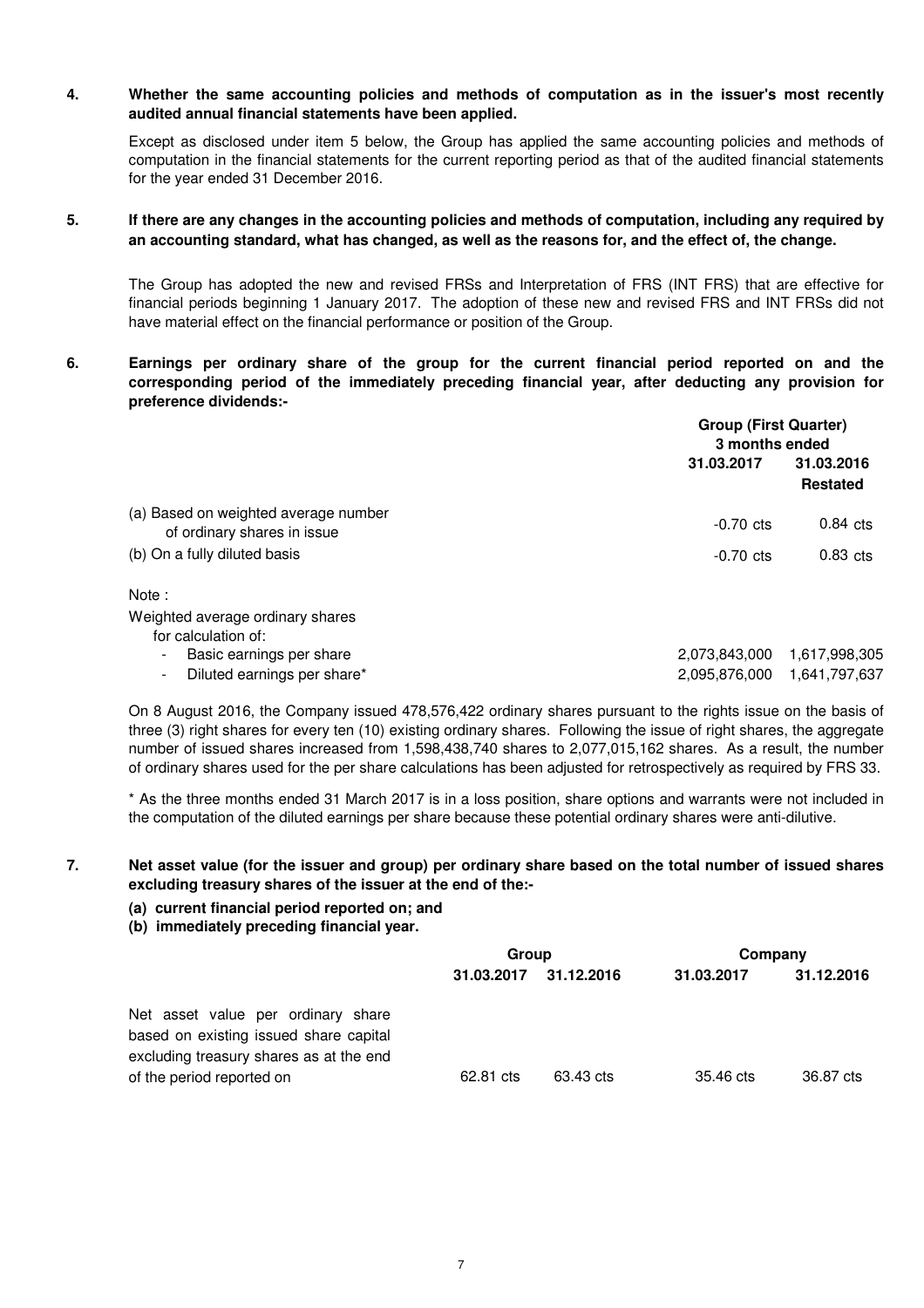#### **4. Whether the same accounting policies and methods of computation as in the issuer's most recently audited annual financial statements have been applied.**

Except as disclosed under item 5 below, the Group has applied the same accounting policies and methods of computation in the financial statements for the current reporting period as that of the audited financial statements for the year ended 31 December 2016.

#### **5. If there are any changes in the accounting policies and methods of computation, including any required by an accounting standard, what has changed, as well as the reasons for, and the effect of, the change.**

The Group has adopted the new and revised FRSs and Interpretation of FRS (INT FRS) that are effective for financial periods beginning 1 January 2017. The adoption of these new and revised FRS and INT FRSs did not have material effect on the financial performance or position of the Group.

**6. Earnings per ordinary share of the group for the current financial period reported on and the corresponding period of the immediately preceding financial year, after deducting any provision for preference dividends:-**

|                                                                     | <b>Group (First Quarter)</b><br>3 months ended |                               |  |
|---------------------------------------------------------------------|------------------------------------------------|-------------------------------|--|
|                                                                     | 31.03.2017                                     | 31.03.2016<br><b>Restated</b> |  |
| (a) Based on weighted average number<br>of ordinary shares in issue | $-0.70$ cts                                    | $0.84$ cts                    |  |
| (b) On a fully diluted basis                                        | $-0.70$ cts                                    | $0.83$ cts                    |  |
| Note:                                                               |                                                |                               |  |
| Weighted average ordinary shares<br>for calculation of:             |                                                |                               |  |
| Basic earnings per share<br>$\blacksquare$                          | 2,073,843,000                                  | 1,617,998,305                 |  |
| Diluted earnings per share*<br>$\overline{\phantom{a}}$             | 2,095,876,000                                  | 1,641,797,637                 |  |

On 8 August 2016, the Company issued 478,576,422 ordinary shares pursuant to the rights issue on the basis of three (3) right shares for every ten (10) existing ordinary shares. Following the issue of right shares, the aggregate number of issued shares increased from 1,598,438,740 shares to 2,077,015,162 shares. As a result, the number of ordinary shares used for the per share calculations has been adjusted for retrospectively as required by FRS 33.

\* As the three months ended 31 March 2017 is in a loss position, share options and warrants were not included in the computation of the diluted earnings per share because these potential ordinary shares were anti-dilutive.

### **Net asset value (for the issuer and group) per ordinary share based on the total number of issued shares excluding treasury shares of the issuer at the end of the:-**

- **(a) current financial period reported on; and**
- **(b) immediately preceding financial year.**

**7.**

|                                                                                                                         | Group      |            | Company    |            |
|-------------------------------------------------------------------------------------------------------------------------|------------|------------|------------|------------|
|                                                                                                                         | 31.03.2017 | 31.12.2016 | 31.03.2017 | 31.12.2016 |
| Net asset value per ordinary share<br>based on existing issued share capital<br>excluding treasury shares as at the end |            |            |            |            |
| of the period reported on                                                                                               | 62.81 cts  | 63.43 cts  | 35.46 cts  | 36.87 cts  |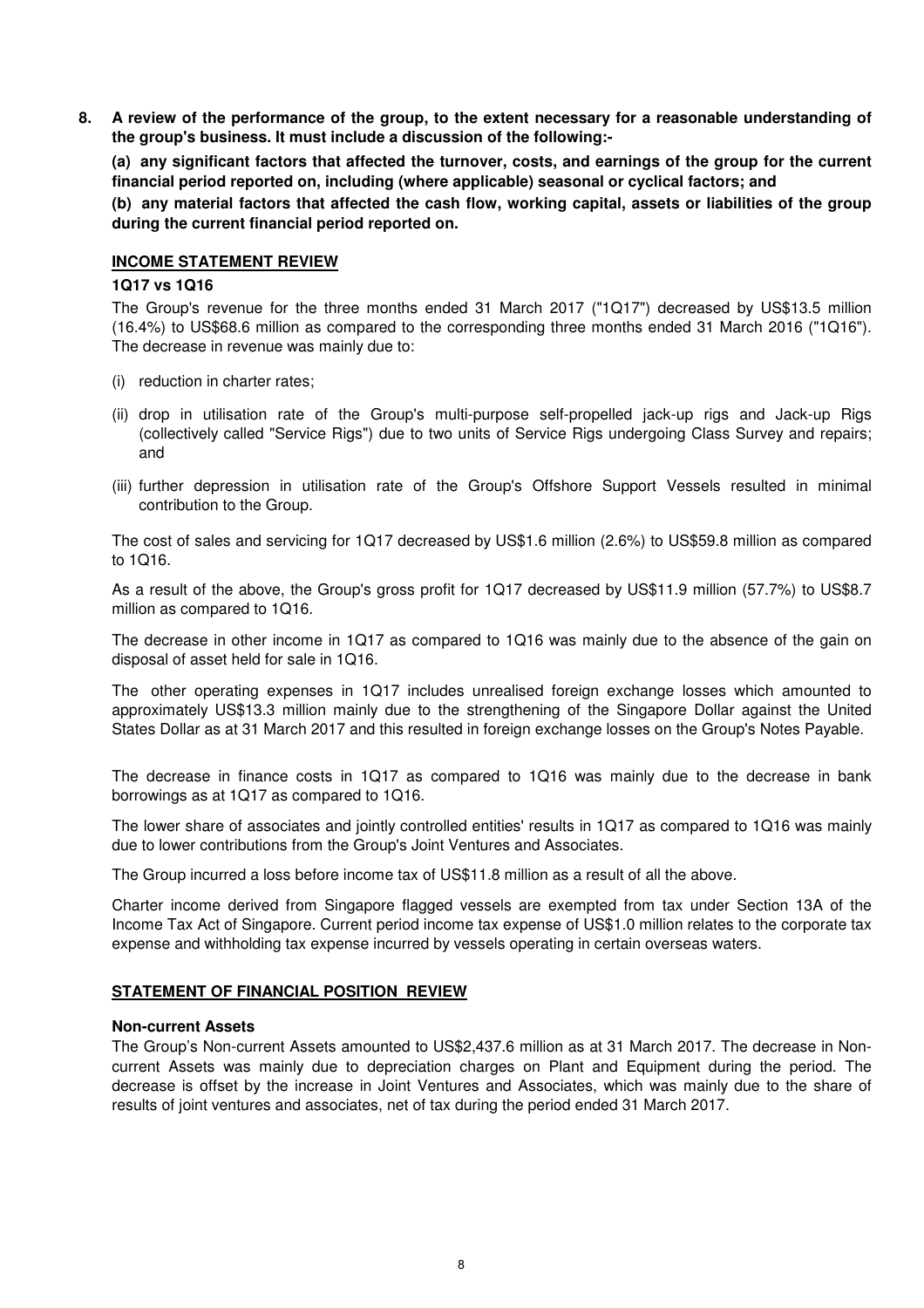**8. A review of the performance of the group, to the extent necessary for a reasonable understanding of the group's business. It must include a discussion of the following:-** 

**(a) any significant factors that affected the turnover, costs, and earnings of the group for the current financial period reported on, including (where applicable) seasonal or cyclical factors; and**

**(b) any material factors that affected the cash flow, working capital, assets or liabilities of the group during the current financial period reported on.**

#### **INCOME STATEMENT REVIEW**

#### **1Q17 vs 1Q16**

The Group's revenue for the three months ended 31 March 2017 ("1Q17") decreased by US\$13.5 million (16.4%) to US\$68.6 million as compared to the corresponding three months ended 31 March 2016 ("1Q16"). The decrease in revenue was mainly due to:

- (i) reduction in charter rates;
- (ii) drop in utilisation rate of the Group's multi-purpose self-propelled jack-up rigs and Jack-up Rigs (collectively called "Service Rigs") due to two units of Service Rigs undergoing Class Survey and repairs; and
- (iii) further depression in utilisation rate of the Group's Offshore Support Vessels resulted in minimal contribution to the Group.

The cost of sales and servicing for 1Q17 decreased by US\$1.6 million (2.6%) to US\$59.8 million as compared to 1Q16.

As a result of the above, the Group's gross profit for 1Q17 decreased by US\$11.9 million (57.7%) to US\$8.7 million as compared to 1Q16.

The decrease in other income in 1Q17 as compared to 1Q16 was mainly due to the absence of the gain on disposal of asset held for sale in 1Q16.

The other operating expenses in 1Q17 includes unrealised foreign exchange losses which amounted to approximately US\$13.3 million mainly due to the strengthening of the Singapore Dollar against the United States Dollar as at 31 March 2017 and this resulted in foreign exchange losses on the Group's Notes Payable.

The decrease in finance costs in 1Q17 as compared to 1Q16 was mainly due to the decrease in bank borrowings as at 1Q17 as compared to 1Q16.

The lower share of associates and jointly controlled entities' results in 1Q17 as compared to 1Q16 was mainly due to lower contributions from the Group's Joint Ventures and Associates.

The Group incurred a loss before income tax of US\$11.8 million as a result of all the above.

Charter income derived from Singapore flagged vessels are exempted from tax under Section 13A of the Income Tax Act of Singapore. Current period income tax expense of US\$1.0 million relates to the corporate tax expense and withholding tax expense incurred by vessels operating in certain overseas waters.

# **STATEMENT OF FINANCIAL POSITION REVIEW**

#### **Non-current Assets**

The Group's Non-current Assets amounted to US\$2,437.6 million as at 31 March 2017. The decrease in Noncurrent Assets was mainly due to depreciation charges on Plant and Equipment during the period. The decrease is offset by the increase in Joint Ventures and Associates, which was mainly due to the share of results of joint ventures and associates, net of tax during the period ended 31 March 2017.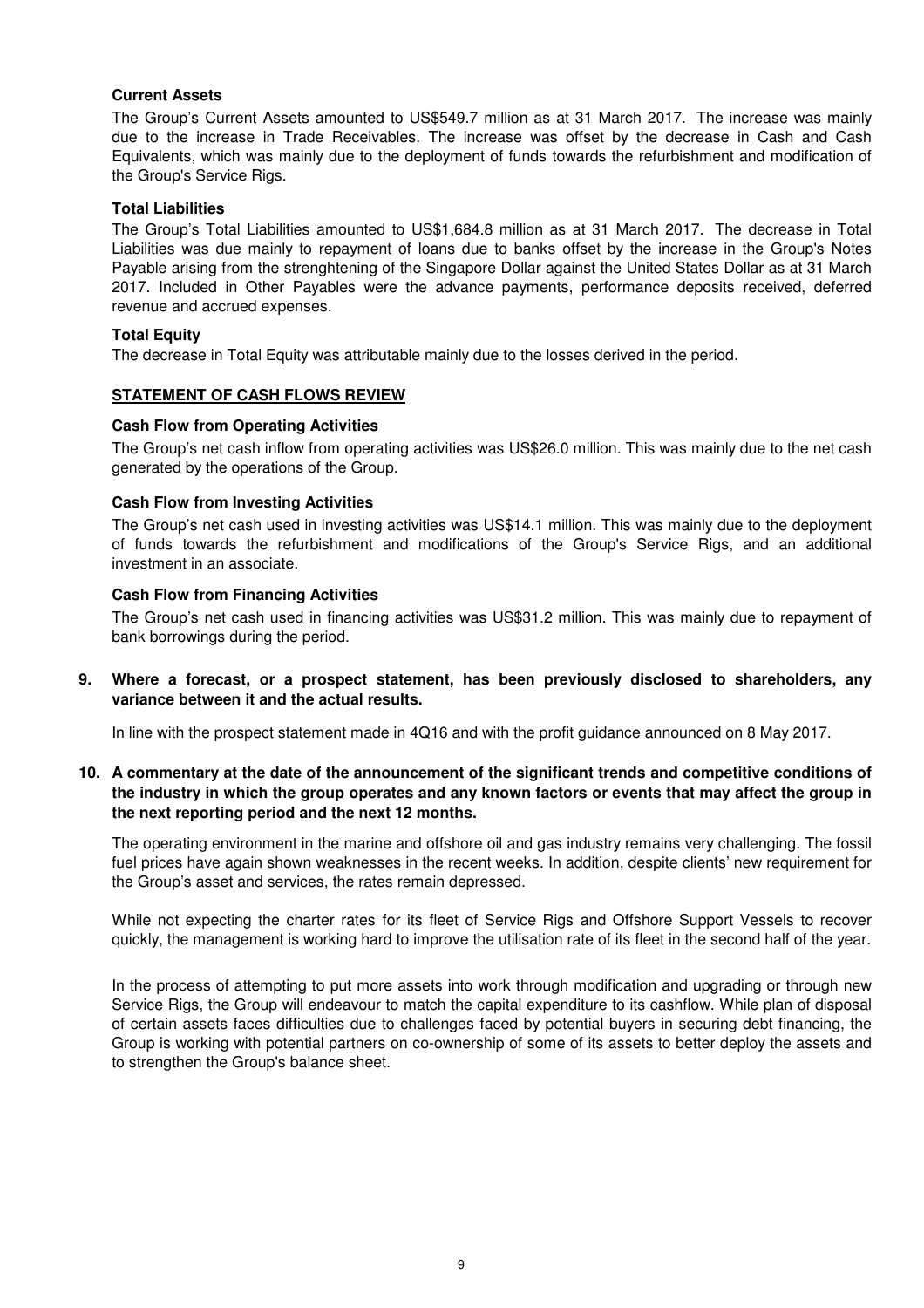### **Current Assets**

The Group's Current Assets amounted to US\$549.7 million as at 31 March 2017. The increase was mainly due to the increase in Trade Receivables. The increase was offset by the decrease in Cash and Cash Equivalents, which was mainly due to the deployment of funds towards the refurbishment and modification of the Group's Service Rigs.

#### **Total Liabilities**

The Group's Total Liabilities amounted to US\$1,684.8 million as at 31 March 2017. The decrease in Total Liabilities was due mainly to repayment of loans due to banks offset by the increase in the Group's Notes Payable arising from the strenghtening of the Singapore Dollar against the United States Dollar as at 31 March 2017. Included in Other Payables were the advance payments, performance deposits received, deferred revenue and accrued expenses.

### **Total Equity**

The decrease in Total Equity was attributable mainly due to the losses derived in the period.

### **STATEMENT OF CASH FLOWS REVIEW**

### **Cash Flow from Operating Activities**

The Group's net cash inflow from operating activities was US\$26.0 million. This was mainly due to the net cash generated by the operations of the Group.

### **Cash Flow from Investing Activities**

The Group's net cash used in investing activities was US\$14.1 million. This was mainly due to the deployment of funds towards the refurbishment and modifications of the Group's Service Rigs, and an additional investment in an associate.

# . **Cash Flow from Financing Activities**

The Group's net cash used in financing activities was US\$31.2 million. This was mainly due to repayment of bank borrowings during the period.

**9. Where a forecast, or a prospect statement, has been previously disclosed to shareholders, any variance between it and the actual results.**

In line with the prospect statement made in 4Q16 and with the profit guidance announced on 8 May 2017.

# **10. A commentary at the date of the announcement of the significant trends and competitive conditions of the industry in which the group operates and any known factors or events that may affect the group in the next reporting period and the next 12 months.**

The operating environment in the marine and offshore oil and gas industry remains very challenging. The fossil fuel prices have again shown weaknesses in the recent weeks. In addition, despite clients' new requirement for the Group's asset and services, the rates remain depressed.

While not expecting the charter rates for its fleet of Service Rigs and Offshore Support Vessels to recover quickly, the management is working hard to improve the utilisation rate of its fleet in the second half of the year.

In the process of attempting to put more assets into work through modification and upgrading or through new Service Rigs, the Group will endeavour to match the capital expenditure to its cashflow. While plan of disposal of certain assets faces difficulties due to challenges faced by potential buyers in securing debt financing, the Group is working with potential partners on co-ownership of some of its assets to better deploy the assets and to strengthen the Group's balance sheet.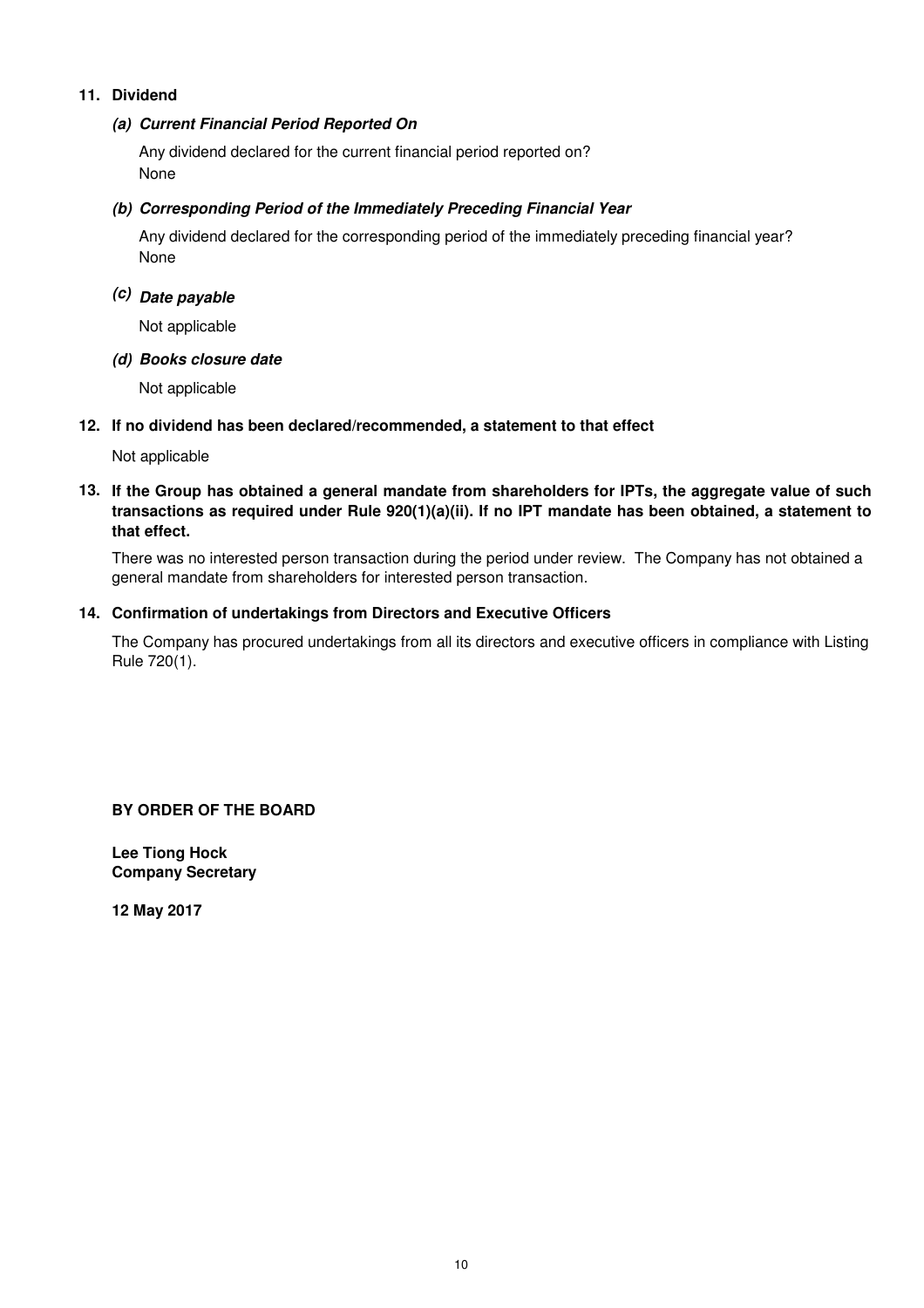# **11. Dividend**

# **(a) Current Financial Period Reported On**

Any dividend declared for the current financial period reported on? None

# **(b) Corresponding Period of the Immediately Preceding Financial Year**

None Any dividend declared for the corresponding period of the immediately preceding financial year?

# **(c) Date payable**

Not applicable

### **(d) Books closure date**

Not applicable

# **12. If no dividend has been declared/recommended, a statement to that effect**

Not applicable

# **13. If the Group has obtained a general mandate from shareholders for IPTs, the aggregate value of such transactions as required under Rule 920(1)(a)(ii). If no IPT mandate has been obtained, a statement to that effect.**

There was no interested person transaction during the period under review. The Company has not obtained a general mandate from shareholders for interested person transaction.

### **14. Confirmation of undertakings from Directors and Executive Officers**

The Company has procured undertakings from all its directors and executive officers in compliance with Listing Rule 720(1).

**BY ORDER OF THE BOARD**

**Lee Tiong Hock Company Secretary**

**12 May 2017**